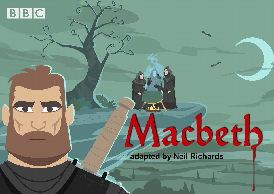

CD

# Aacbeth

adapted by Neil Richards

R22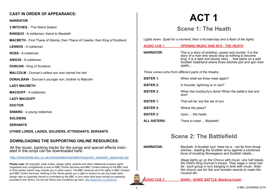#### **CAST IN ORDER OF APPEARANCE:**

#### **NARRATOR**

**3 WITCHES** - 'The Weird Sisters'

**BANQUO** - A nobleman; friend to Macbeth

**MACBETH** - First Thane of Glamis, then Thane of Cawdor, then King of Scotland

**LENNOX** - A nobleman

**ROSS** - A nobleman

**ANGUS** - A nobleman

**DUNCAN** - King of Scotland

**MALCOLM** - Duncan's eldest son and named his heir

**DONALBAIN** - Duncan's younger son; brother to Malcolm

**LADY MACBETH**

**MACDUFF** - A nobleman

**LADY MACDUFF**

**DOCTOR**

**SIWARD** - a young nobleman

**SOLDIERS**

**SERVANTS**

**OTHER LORDS, LADIES, SOLDIERS, ATTENDANTS, SERVANTS**

#### **DOWNLOADING THE SUPPORTING ONLINE RESOURCES:**

All the music, backing tracks for the songs and special effects indci- ated in the script can be downloaded here:

[http://downloads.bbc.co.uk/schoolradio/macbeth/music/sfx\\_macbeth\\_playscript.zip](http://downloads.bbc.co.uk/schoolradio/macbeth/music/sfx_macbeth_playscript.zip)

**Please note:** All copyright, trade marks, design rights, patents and other intellectual property rights (registered and unregistered) in and on BBC Online Services and BBC Content belong to the BBC and/ or third parties (which may include you or other users). The BBC reserves all of its rights in BBC Content and BBC Online Services. Nothing in the Terms grants you a right or licence to use any trade mark, design right or copyright owned or controlled by the BBC or any other third party except as expressly provided in the Terms. For the full Terms and Conditions go here: http://www.bbc.co.uk/terms/

# **ACT 1**

## **Scene 1: The Heath**

*Lights down. Quiet for a moment, then a thunderclap and a flash of the lights.*

| <b>AUDIO CUE 1</b>                                     | <b>OPENING MUSIC AND SFX - THE HEATH</b>                                                                                                                                                                                                             |  |
|--------------------------------------------------------|------------------------------------------------------------------------------------------------------------------------------------------------------------------------------------------------------------------------------------------------------|--|
| <b>NARRATOR:</b>                                       | This is a story of ambition, power and murder. It is the<br>story of a man who would stop at nothing to become<br>king. It is a dark and bloody story  that starts on a wild<br>Scottish heathland where three witches plot and spin their<br>spells |  |
| Three voices echo from different parts of the theatre. |                                                                                                                                                                                                                                                      |  |
| <b>SISTER 1:</b>                                       | When shall we three meet again?                                                                                                                                                                                                                      |  |
| <b>SISTER 2:</b>                                       | In thunder, lightning or in rain?                                                                                                                                                                                                                    |  |
| <b>SISTER 3:</b>                                       | When the hurlyburly's done! When the battle's lost and<br>won!                                                                                                                                                                                       |  |
| <b>SISTER 1:</b>                                       | That will be 'ere the set of sun.                                                                                                                                                                                                                    |  |
| SISTER 2:                                              | Where the place?                                                                                                                                                                                                                                     |  |
| SISTER 3:                                              | Upon  the heath.                                                                                                                                                                                                                                     |  |
| <b>ALL SISTERS:</b>                                    | There to meet  Macbeth!                                                                                                                                                                                                                              |  |

## **Scene 2: The Battlefield**

**NARRATOR** Macbeth. A Scottish lord. Here he is - not far from those witches - leading the Scottish army against a combined force of invading Norwegians and Scottish rebels...

> *Stage lights up on the Chorus with music, one half rebels, the others King Duncan's troops. They wage a 'sonic bat- tle', each group in turn banging in time with music. Note: the chorus use bin lids and wooden swords to make the musical din.*

**AUDIO CUE 2 SONG - SONIC BATTLE (Backing track)**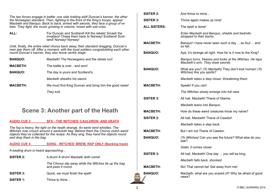*The two forces engage in battle: one side holding aloft Duncan's banner, the other the Norwegian standard. Then, fighting to the front of the King's troops, appear Macbeth and Banquo. Back to back, armed with swords, they face a group of re- bels. They fight, the music growing in volume, mixed with war-cries.*

**ALL:** For Duncan and Scotland! Kill the rebels! Smash the invaders! Chase them back to Norway! Scotland! Scot-<br>land! Norway! Norway!

*Until, finally, the entire rebel chorus back away, their standard dragging. Duncan's men jeer them off. After a moment, with the loyal soldiers congratulating each other round Duncan's banner, they also leave centre stage.* 

| <b>BANQUO:</b>  | Macbeth! The Norwegians and the rebels run!           |
|-----------------|-------------------------------------------------------|
| <b>MACBETH:</b> | The battle is over - and won!                         |
| <b>BANQUO:</b>  | The day is yours and Scotland's.                      |
|                 | Macbeth sheaths his sword.                            |
| <b>MACBETH:</b> | We must find King Duncan and bring him the good news! |
|                 | They exit.                                            |

## **Scene 3: Another part of the Heath**

#### **AUDIO CUE 3 SFX - THE WITCHES' CAULDRON AND HEATH**

*The fog is heavy, the light on the heath strange. An eerie wind whistles. The Witches now crouch around a sackcloth bag. Behind them the Chorus clutch weird objects they've collected for the recipe. As they sing, they hand the objects round and drop them in the bag.*

#### **AUDIO CUE 4 SONG - WITCHES' BREW, RAP ONLY (Backing track)**

*A beating drum is heard approaching...*

| <b>SISTER 2:</b> | A drum! A drum! Macbeth doth come! |
|------------------|------------------------------------|
|                  |                                    |

 *The Chorus slip away while the Witches tie up the bag and pass it round.*

**SISTER 3:** Quick, we must finish the spell!

**SISTER 1:** Thrice to thine...

| And thrice to mine                                                                          |
|---------------------------------------------------------------------------------------------|
| Thrice again makes up nine!                                                                 |
| The spell is done!                                                                          |
| Enter Macbeth and Banquo, shields and bedrolls<br>strapped to their backs.                  |
| Banquo! I have never seen such a day  so foul  and<br>so fair.                              |
| Aye, it's strange all right. How far is it now to the King?                                 |
| Banquo turns, freezes and looks at the Witches. He taps<br>Macbeth's arm. They draw swords. |
| What are you? (To Macbeth) They don't look human! (To<br>Witches) Are you spirits?          |
| Macbeth takes a step closer, threatening them.                                              |
| Speak! If you can!                                                                          |
| The Witches slowly emerge into full view.                                                   |
| All hail, Macbeth! Thane of Glamis.                                                         |
| Macbeth leans into Banquo.                                                                  |
| How do these weird creatures know my name?                                                  |
| All hail, Macbeth! Thane of Cawdor!                                                         |
| Macbeth takes a step back.                                                                  |
| But I am not Thane of Cawdor.                                                               |
| (To Witches) Can you see the future? What else do you<br>see?                               |
| Sister 3 comes closer.                                                                      |
| All hail, Macbeth! One day  you will be king.                                               |
| Macbeth falls back, shocked.                                                                |
| No! That cannot be! Get away from me!                                                       |
| Macbeth, what are you scared of? Why be afraid of good<br>news?                             |
|                                                                                             |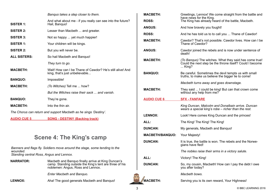|                                                                  | Banquo takes a step closer to them.                                                         |  |
|------------------------------------------------------------------|---------------------------------------------------------------------------------------------|--|
| <b>SISTER 1:</b>                                                 | And what about me - if you really can see into the future?<br>Hail, Banquo!                 |  |
| <b>SISTER 2:</b>                                                 | Lesser than Macbeth  and greater.                                                           |  |
| <b>SISTER 3:</b>                                                 | Not so happy  yet much happier!                                                             |  |
| SISTER 1:                                                        | Your children will be kings.                                                                |  |
| SISTER 2:                                                        | But you will never be.                                                                      |  |
| <b>ALL SISTERS:</b>                                              | So hail Macbeth and Banquo!                                                                 |  |
|                                                                  | They turn to go.                                                                            |  |
| <b>MACBETH:</b>                                                  | Wait! How can I be Thane of Cawdor? He's still alive! And<br>king, that's just unbelievable |  |
| <b>BANQUO:</b>                                                   | Impossible!                                                                                 |  |
| <b>MACBETH:</b>                                                  | (To Witches) Tell me  how?                                                                  |  |
|                                                                  | But the Witches raise their sack us and vanish                                              |  |
| <b>BANQUO:</b>                                                   | They're gone.                                                                               |  |
| <b>MACBETH:</b>                                                  | Into the thin air.                                                                          |  |
| The Chorus can return and support Macbeth as he sings 'Destiny'. |                                                                                             |  |

**AUDIO CUE 5 SONG - DESTINY (Backing track)**

## **Scene 4: The King's camp**

*Banners and flags fly. Soldiers move around the stage, some tending to the wounded. Standing central Ross, Angus and Lennox.* 

| <b>NARRATOR:</b> | Macbeth and Banquo finally arrive at King Duncan's      |
|------------------|---------------------------------------------------------|
|                  | camp. Standing outside the King's tent are three of his |
|                  | noblemen: Angus, Ross and Lennox.                       |

*Enter Macbeth and Banquo.*

LENNOX: Aha! The good generals Macbeth and Banquo!

| <b>MACBETH:</b>        | Greetings, Lennox! We come straight from the battle and<br>have news for the King.                                             |  |
|------------------------|--------------------------------------------------------------------------------------------------------------------------------|--|
| <b>ROSS:</b>           | The King has already heard of the battle, Macbeth.                                                                             |  |
| <b>ANGUS:</b>          | And how bravely you fought!                                                                                                    |  |
| <b>ROSS:</b>           | And he has told us to to call you  Thane of Cawdor!                                                                            |  |
| <b>MACBETH:</b>        | Cawdor? That's not possible. Cawdor lives. How can I be<br>Thane of Cawdor?                                                    |  |
| <b>ANGUS:</b>          | Cawdor joined the rebels and is now under sentence of<br>death!                                                                |  |
| <b>MACBETH:</b>        | (To Banquo) The witches. What they said has come true!<br>Could the next step be the throne itself? Could I become<br>$$ King? |  |
| <b>BANQUO:</b>         | Be careful. Sometimes the devil tempts us with small<br>truths, to make us believe the bigger lie to come!                     |  |
|                        | Macbeth turns away and goes downstage.                                                                                         |  |
| <b>MACBETH:</b>        | They said  I could be king! But can that crown come<br>without any help from me?                                               |  |
| <b>AUDIO CUE 6</b>     | <b>SFX - FANFARE</b>                                                                                                           |  |
|                        | King Duncan, Malcolm and Donalbain arrive. Duncan<br>wears a special king's robe - richer than the rest.                       |  |
| <b>LENNOX:</b>         | Look! Here comes King Duncan and the princes!                                                                                  |  |
| ALL:                   | The King! The King! The King!                                                                                                  |  |
| <b>DUNCAN:</b>         | My generals, Macbeth and Banquo!                                                                                               |  |
| <b>MACBETH/BANQUO:</b> | Your Majesty!                                                                                                                  |  |
| <b>DUNCAN:</b>         | It is true, the battle is won. The rebels and the Norwe-<br>gians have fled!                                                   |  |
|                        | The nobles raise their arms in a victory salute.                                                                               |  |
| ALL:                   | Victory! The King!                                                                                                             |  |
| <b>DUNCAN:</b>         | So, my cousin, Macbeth! How can I pay the debt I owe<br>you after today?                                                       |  |
|                        | Macbeth bows.                                                                                                                  |  |
| <b>MACBETH:</b>        | Serving you is its own reward, Your Highness!                                                                                  |  |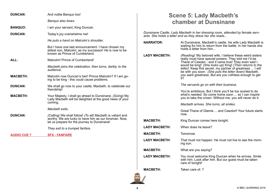| <b>DUNCAN:</b>     | And noble Banquo too!                                                                                                                                                                 |                      | <b>Scene 5: Lady Macbeth's</b>                                                                                                                                                                                                            |
|--------------------|---------------------------------------------------------------------------------------------------------------------------------------------------------------------------------------|----------------------|-------------------------------------------------------------------------------------------------------------------------------------------------------------------------------------------------------------------------------------------|
|                    | Banquo also bows.                                                                                                                                                                     |                      | <b>chamber at Dunsinane</b>                                                                                                                                                                                                               |
| <b>BANQUO:</b>     | I am your servant, King Duncan.                                                                                                                                                       |                      |                                                                                                                                                                                                                                           |
| <b>DUNCAN:</b>     | Today's joy overwhelms me!                                                                                                                                                            |                      | Dunsinane Castle. Lady Macbeth in her dressing room, attended by female serv-<br>ants. She holds a letter and as they dress her she reads                                                                                                 |
|                    | He puts a hand on Malcolm's shoulder.<br>But I have one last announcement. I have chosen my                                                                                           | <b>NARRATOR:</b>     | At Dunsinane, Macbeth's castle, his wife Lady Macbeth is<br>waiting for him to return from the battle. In her hands she<br>holds a letter from him                                                                                        |
|                    | eldest son, Malcolm, as my successor! He is now to be<br>known as Prince of Cumberland.                                                                                               | <b>LADY MACBETH:</b> | (Reading) 'My beloved wife, I believe these weird sisters<br>really must have special powers. They told me I'd be                                                                                                                         |
| ALL:               | Malcolm! Prince of Cumberland!<br>Macbeth joins the celebration, then turns, darkly, to the<br>audience.                                                                              |                      | Thane of Cawdor - and it came true! They even said I<br>would be king!' (She looks up) King! (Then returns to the<br>letter) 'Keep this secret, my partner of greatness  I will<br>be with you soon.' (She puts the letter down) Macbeth, |
| <b>MACBETH:</b>    | Malcolm now Duncan's heir! Prince Malcolm? If I am go-<br>ing to be king - this could cause problems.                                                                                 |                      | you want greatness. But are you ruthless enough to get                                                                                                                                                                                    |
| <b>DUNCAN:</b>     | We shall go now to your castle, Macbeth, to celebrate our<br>friendship!                                                                                                              |                      | The servants go on with their business.                                                                                                                                                                                                   |
| <b>MACBETH:</b>    | Your Majesty, I shall go ahead to Dunsinane. (Going) My<br>Lady Macbeth will be delighted at the good news of your                                                                    |                      | You're ambitious. But I think you'll be too scared to do<br>what's needed. So come home soon  so I can inspire<br>you to take the crown. Without me, you will never do it.                                                                |
|                    | coming.                                                                                                                                                                               |                      | Macbeth arrives. She turns, all smiles.                                                                                                                                                                                                   |
| <b>DUNCAN:</b>     | Macbeth exits.<br>(Calling) We shall follow! (To all) Macbeth is valiant and<br>worthy. We are lucky to have him as our kinsman. Now,<br>let us prepare for the journey to Dunsinane! |                      | Great Thane of Glamis  and Cawdorl! Your future starts<br>now.                                                                                                                                                                            |
|                    |                                                                                                                                                                                       | <b>MACBETH:</b>      | King Duncan comes here tonight.                                                                                                                                                                                                           |
|                    | They exit to a trumpet fanfare.                                                                                                                                                       | <b>LADY MACBETH:</b> | When does he leave?                                                                                                                                                                                                                       |
| <b>AUDIO CUE 7</b> | <b>SFX - FANFARE</b>                                                                                                                                                                  | <b>MACBETH:</b>      | Tomorrow.                                                                                                                                                                                                                                 |
|                    |                                                                                                                                                                                       | <b>LADY MACBETH:</b> | That must not happen. He must not live to see the morn-<br>ing sun.                                                                                                                                                                       |
|                    |                                                                                                                                                                                       | <b>MACBETH:</b>      | What are you saying?                                                                                                                                                                                                                      |
|                    |                                                                                                                                                                                       | <b>LADY MACBETH:</b> | You must welcome King Duncan when he arrives. Smile<br>with him. Look after him. But our guest must be taken<br>care of tonight!                                                                                                          |
|                    |                                                                                                                                                                                       | <b>MACBETH:</b>      | Taken care of ?                                                                                                                                                                                                                           |

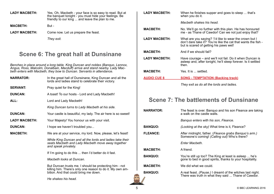| Yes. Oh, Macbeth - your face is so easy to read. But at<br>the banquet tonight - you must hide your feelings. Be<br>friendly to our king  and leave the plan to me. |
|---------------------------------------------------------------------------------------------------------------------------------------------------------------------|
| But -                                                                                                                                                               |
| Come now. Let us prepare the feast.                                                                                                                                 |
| They exit.                                                                                                                                                          |
|                                                                                                                                                                     |

## **Scene 6: The great hall at Dunsinane**

*Benches in place around a long table. King Duncan and nobles (Banquo, Lennox, Angus, Ross, Malcolm, Donalbain, Macduff) arrive and stand nearby. Lady Mac- beth enters with Macbeth, they bow to Duncan. Servants in attendance.*

| <b>NARRATOR:</b>     | In the great hall of Dunsinane, King Duncan and all the<br>lords and ladies stand to celebrate their victory.                                                |  |
|----------------------|--------------------------------------------------------------------------------------------------------------------------------------------------------------|--|
| <b>SERVANT:</b>      | Pray quiet for the King!                                                                                                                                     |  |
| <b>DUNCAN:</b>       | A toast! To our hosts - Lord and Lady Macbeth!                                                                                                               |  |
| ALL:                 | Lord and Lady Macbeth!                                                                                                                                       |  |
|                      | King Duncan turns to Lady Macbeth at his side.                                                                                                               |  |
| <b>DUNCAN:</b>       | Your castle is beautiful, my lady. The air here is so sweet!                                                                                                 |  |
| <b>LADY MACBETH:</b> | Your Majesty! You honour us with your visit.                                                                                                                 |  |
| <b>DUNCAN:</b>       | I hope we haven't troubled you                                                                                                                               |  |
| <b>MACBETH:</b>      | We are at your service, my lord. Now, please, let's feast!                                                                                                   |  |
|                      | While King Duncan and all the lords and ladies take their<br>seats Macbeth and Lady Macbeth move away together<br>and speak privately.                       |  |
|                      | If I'm going to do this  then I'd better do it fast.                                                                                                         |  |
|                      | Macbeth looks at Duncan.                                                                                                                                     |  |
|                      | But Duncan trusts me. I should be protecting him - not<br>killing him. There's only one reason to do it. My own am-<br>bition. And that could bring me down. |  |
|                      |                                                                                                                                                              |  |

**LADY MACBETH:** When he finishes supper and goes to sleep ... that's when you do it. *Macbeth shakes his head.* **MACBETH:** No. We'll go no further with this plan. He has honoured me - as Thane of Cawdor! Can we not just enjoy that? **LADY MACBETH:** What are you saying? 'I'd like to wear the crown but I don't dare take it?' You're like the cat that wants the fish -<br>but is scared of getting his paws wet! **MACBETH:** And if we should fail? **LADY MACBETH:** Have courage – and we'll not fail. Do it when Duncan is asleep and, after tonight, he'll sleep forever. Is it settled then. **MACBETH:** Yes. It is ... settled. **AUDIO CUE 8 SONG - TEMPTATION (Backing track)** *They exit as do all the lords and ladies.* **Scene 7: The battlements of Dunsinane NARRATOR:** The feast is over. Banquo and his son Fleance are taking a walk on the castle walls. *Banquo enters with his son, Fleance.* **BANQUO:** *(Looking at the sky)* What time is it, Fleance? **FLEANCE:** After midnight, father. (*Fleance grabs Banquo's arm.)*  Someone's coming! *(Calling out)* Who's there? *Enter Macbeth.*

**MACBETH:** A friend.

**BANQUO:** You're still up too? The King at least is asleep ... he's gone to bed in good spirits, thanks to your hospitality.

**MACBETH:** We did what we could.

**BANQUO:** A real feast. *(Pause.)* I dreamt of the witches last night. There was truth in what they said ... Thane of Cawdor.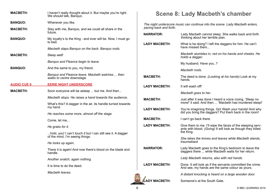| <b>MACBETH:</b>    | I haven't really thought about it. But maybe you're right.<br>We should talk, Banquo.           |                                                                                                        | <b>Scene 8: Lady Macbeth's chamber</b>                                                                                                 |
|--------------------|-------------------------------------------------------------------------------------------------|--------------------------------------------------------------------------------------------------------|----------------------------------------------------------------------------------------------------------------------------------------|
| <b>BANQUO:</b>     | Whenever you like.                                                                              | The night underscore music can continue into the scene. Lady Macbeth enters,<br>pacing back and forth. |                                                                                                                                        |
| <b>MACBETH:</b>    | Stay with me, Banquo, and we could all share in the<br>future.                                  | <b>NARRATOR:</b>                                                                                       | Lady Macbeth cannot sleep. She walks back and forth                                                                                    |
| <b>BANQUO:</b>     | My loyalty's to the King - and ever will be. Now, I must go<br>to bed.                          | <b>LADY MACBETH:</b>                                                                                   | thinking about her terrible plan.<br>What is he doing? I left the daggers for him. He can't                                            |
|                    | Macbeth slaps Banquo on the back. Banquo nods.                                                  |                                                                                                        | have missed them                                                                                                                       |
| <b>MACBETH:</b>    | Sleep well!                                                                                     |                                                                                                        | Macbeth stumbles in, red on his hands and cheeks. He<br>holds a dagger.                                                                |
|                    | Banquo and Fleance begin to leave.                                                              |                                                                                                        | My husband. Have you?                                                                                                                  |
| <b>BANQUO:</b>     | And the same to you, my friend.                                                                 |                                                                                                        | Macbeth nods.                                                                                                                          |
|                    | Banquo and Fleance leave. Macbeth watches  then<br>walks to centre downstage.                   | <b>MACBETH:</b>                                                                                        | The deed is done. (Looking at his hands) Look at my<br>hands.                                                                          |
| <b>AUDIO CUE 9</b> | <b>EERIE NIGHT UNDERSCORE</b>                                                                   | <b>LADY MACBETH:</b>                                                                                   | It will wash off!                                                                                                                      |
| <b>MACBETH:</b>    | Soon everyone will be asleep  but me. And then                                                  |                                                                                                        | Macbeth goes to her.                                                                                                                   |
|                    | Macbeth stops. He raises a hand towards the audience.                                           | <b>MACBETH:</b>                                                                                        | Just after it was done I heard a voice crying. 'Sleep no<br>more!' it said. And then  'Macbeth has murdered sleep!'                    |
|                    | What's this? A dagger in the air, its handle turned towards<br>my hand.                         | <b>LADY MACBETH:</b>                                                                                   | You're imagining things. Go! Wash your hands! And why                                                                                  |
|                    | He reaches some more, almost off the stage.                                                     |                                                                                                        | did you bring the daggers? Put them back in the room!                                                                                  |
|                    | Come, let me                                                                                    | <b>MACBETH:</b>                                                                                        | I can't go back there.                                                                                                                 |
|                    | He grabs for it.                                                                                | <b>LADY MACBETH:</b>                                                                                   | Give them to me. I'll wipe the faces of the sleeping serv-<br>ants with blood. (Going) It will look as though they killed<br>the King. |
|                    | hold, you! I can't touch it but I can still see it. A dagger<br>of the mind. I'm seeing things. |                                                                                                        | She takes the knives and leaves while Macbeth stands,                                                                                  |
|                    | He looks up again.                                                                              | <b>NARRATOR:</b>                                                                                       | traumatised.                                                                                                                           |
|                    | There it is again! And now there's blood on the blade and<br>handle.                            |                                                                                                        | Lady Macbeth goes to the King's bedroom to leave the<br>daggers there  while Macbeth waits for her return.                             |
|                    | Another snatch, again nothing.                                                                  |                                                                                                        | Lady Macbeth returns, also with red hands.                                                                                             |
|                    | It is time to do the deed.                                                                      | <b>LADY MACBETH:</b>                                                                                   | Done. It will look as if the servants committed the crime.<br>And see, my hands are the same colour as yours.                          |
|                    | Macbeth leaves.                                                                                 |                                                                                                        | A distant knocking is heard on a large wooden door.                                                                                    |
|                    |                                                                                                 | <b>ADY MACBETH:</b>                                                                                    | Someone's at the South Gate.                                                                                                           |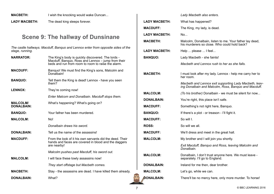| <b>MACBETH:</b> | I wish the knocking would wake Duncan |
|-----------------|---------------------------------------|
|-----------------|---------------------------------------|

**LADY MACBETH:** The dead king sleeps forever.

## **Scene 9: The hallway of Dunsinane**

*The castle hallways. Macduff, Banquo and Lennox enter from opposite sides of the stage, running.*

| <b>NARRATOR:</b>                     | The King's body is quickly discovered. The lords -<br>Macduff, Banquo, Ross and Lennox - jump from their<br>beds and run from room to room to raise the alarm. |
|--------------------------------------|----------------------------------------------------------------------------------------------------------------------------------------------------------------|
| <b>MACDUFF:</b>                      | Banquo! We must find the King's sons, Malcolm and<br>Donalbain!                                                                                                |
| <b>BANQUO:</b>                       | Tell them the King is dead! Lennox - have you seen<br>them?                                                                                                    |
| <b>LENNOX:</b>                       | They're coming now!                                                                                                                                            |
|                                      | Enter Malcom and Donalbain. Macduff stops them.                                                                                                                |
| <b>MALCOLM/</b><br><b>DONALBAIN:</b> | What's happening? What's going on?                                                                                                                             |
| <b>BANQUO:</b>                       | Your father has been murdered.                                                                                                                                 |
| <b>MALCOLM:</b>                      | No!                                                                                                                                                            |
|                                      | Donalbain draws his sword.                                                                                                                                     |
| <b>DONALBAIN:</b>                    | Tell us the name of the assassins!                                                                                                                             |
| <b>MACDUFF:</b>                      | From the look of it his own servants did the deed. Their<br>hands and faces are covered in blood and the daggers<br>are nearby!                                |
|                                      | Malcolm pushes past Macduff, his sword out.                                                                                                                    |
| <b>MALCOLM:</b>                      | I will face these lowly assassins now!                                                                                                                         |
|                                      | They start offstage but Macbeth comes.                                                                                                                         |
| <b>MACBETH:</b>                      | Stay - the assassins are dead. I have killed them already.                                                                                                     |
| <b>DONALBAIN:</b>                    | What?                                                                                                                                                          |

#### *Lady Macbeth also enters.*

| LADY MACBETH:        | What has happened?                                                                                             |
|----------------------|----------------------------------------------------------------------------------------------------------------|
| <b>MACDUFF:</b>      | The King, my lady, is dead.                                                                                    |
| <b>LADY MACBETH:</b> | No                                                                                                             |
| MACBETH:             | Malcolm, Donalbain, listen to me. Your father lay dead,<br>his murderers so close. Who could hold back?        |
| <b>LADY MACBETH:</b> | Help  please  I feel                                                                                           |
| <b>BANQUO:</b>       | Lady Macbeth - she faints!                                                                                     |
|                      | Macbeth and Lennox rush to her as she falls.                                                                   |
| <b>MACBETH:</b>      | I must look after my lady. Lennox - help me carry her to<br>her room.                                          |
|                      | Macbeth and Lennox exit supporting Lady Macbeth, leav-<br>ing Donalbain and Malcolm, Ross, Banquo and Macduff. |
| <b>MALCOLM:</b>      | (To his brother) Donalbain - we must be silent for now                                                         |
| <b>DONALBAIN:</b>    | You're right, this place isn't safe.                                                                           |
| <b>MACDUFF:</b>      | Something's not right here, Banquo.                                                                            |
| <b>BANQUO:</b>       | If there's a plot - or treason - I'll fight it.                                                                |
| <b>MACDUFF:</b>      | So will I.                                                                                                     |
| <b>ROSS:</b>         | So will we all.                                                                                                |
| <b>MACDUFF:</b>      | We'll dress and meet in the great hall.                                                                        |
| <b>MALCOLM:</b>      | My brother and I will join you shortly.                                                                        |
|                      | Exit Macduff, Banquo and Ross, leaving Malcolm and<br>Donalbain.                                               |
| <b>MALCOLM:</b>      | Donalbain, I don't trust anyone here. We must leave -<br>separately. I'll go to England.                       |
| <b>DONALBAIN:</b>    | Ireland for me then, dear brother.                                                                             |
| <b>MALCOLM:</b>      | Let's go, while we can.                                                                                        |
| DONALBAIN:           | There'll be no mercy here, only more murder. To horse!                                                         |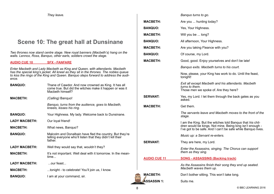*They leave.*

## **Scene 10: The great hall at Dunsinane**

*Two thrones now stand centre stage. New royal banners (Macbeth's) hang on the walls. Lennox, Ross, Banquo, other earls, soldiers crowd the stage.*

#### **AUDIO CUE 10 SFX - FANFARE**

*Enter Macbeth and Lady Macbeth as King and Queen, with attendants. Macbeth has the special king's jacket. All kneel as they sit in the thrones. The nobles queue to kiss the rings of the King and Queen. Banquo steps forward to address the audience.*

| <b>BANQUO:</b>       | Thane of Cawdor. And now crowned as King. It has all<br>come true. But did the witches make it happen or was it<br>Macheth himself? |
|----------------------|-------------------------------------------------------------------------------------------------------------------------------------|
| <b>MACBETH:</b>      | (Calling) Banquo!                                                                                                                   |
|                      | Banquo, turns from the audience, goes to Macbeth,<br>kneels, kisses his ring.                                                       |
| <b>BANQUO:</b>       | Your Highness. My lady. Welcome back to Dunsinane.                                                                                  |
| <b>LADY MACBETH:</b> | Our loyal friend!                                                                                                                   |
| <b>MACBETH:</b>      | What news, Banquo?                                                                                                                  |
| <b>BANQUO:</b>       | Malcolm and Donalbain have fled the country. But they're<br>telling everyone who'll listen that they didn't kill their<br>father.   |
| <b>LADY MACBETH:</b> | Well they would say that, wouldn't they?                                                                                            |
| <b>MACBETH:</b>      | It's not important. Well deal with it tomorrow. In the mean-<br>time                                                                |
| <b>LADY MACBETH:</b> | our feast                                                                                                                           |
| <b>MACBETH:</b>      | tonight - to celebrate! You'll join us, I know.                                                                                     |
| <b>BANQUO:</b>       | I am at your command, sir.                                                                                                          |

|                     | Banquo turns to go.                                                                                                                                                                   |
|---------------------|---------------------------------------------------------------------------------------------------------------------------------------------------------------------------------------|
| <b>MACBETH:</b>     | Are you  hunting today?                                                                                                                                                               |
| <b>BANQUO:</b>      | Yes, Your Highness.                                                                                                                                                                   |
| <b>MACBETH:</b>     | Will you be  long?                                                                                                                                                                    |
| <b>BANQUO:</b>      | All afternoon, Your Highness.                                                                                                                                                         |
| <b>MACBETH:</b>     | Are you taking Fleance with you?                                                                                                                                                      |
| <b>BANQUO:</b>      | Of course, my Lord.                                                                                                                                                                   |
| <b>MACBETH:</b>     | Good, good. Enjoy yourselves and don't be late!                                                                                                                                       |
|                     | Banquo exits. Macbeth turns to his court.                                                                                                                                             |
|                     | Now, please, your King has work to do. Until the feast,<br>tonight!                                                                                                                   |
|                     | Exit all except Macbeth and his attendants. Macbeth<br>turns to them.<br>Those men we spoke of. Are they here?                                                                        |
| <b>SERVANT:</b>     | Yes, my Lord. I let them through the back gates as you<br>asked.                                                                                                                      |
| <b>MACBETH:</b>     | Get them.                                                                                                                                                                             |
|                     | The servants leave and Macbeth moves to the front of the<br>stage.                                                                                                                    |
|                     | I am the King. But the witches told Banquo that his chil-<br>dren would be kings. Not mine. Being king isn't enough -<br>I've got to be safe. And I can't be safe while Banquo lives. |
|                     | Music up: a Servant re-enters.                                                                                                                                                        |
| <b>SERVANT:</b>     | They are here, my Lord.                                                                                                                                                               |
|                     | Enter the Assassins, singing. The Chorus can support<br>them as they sing.                                                                                                            |
| <b>AUDIO CUE 11</b> | <b>SONG - ASSASSINS (Backing track)</b>                                                                                                                                               |
|                     | As the Assassins finish their song they end up seated.<br>Macbeth waves them up.                                                                                                      |
| <b>MACBETH:</b>     | Don't bother sitting. This won't take long.                                                                                                                                           |
| <b>ASSASSIN 1:</b>  | Suits me.                                                                                                                                                                             |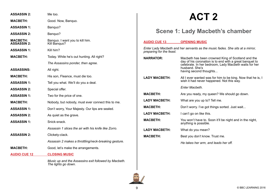| <b>ASSASSIN 2:</b>                    | Me too.                                              |
|---------------------------------------|------------------------------------------------------|
| <b>MACBETH:</b>                       | Good. Now, Banquo.                                   |
| <b>ASSASSIN 1:</b>                    | Banquo?                                              |
| <b>ASSASSIN 2:</b>                    | Banquo?                                              |
| <b>MACBETH:</b><br><b>ASSASSIN 2:</b> | Banquo. I want you to kill him.<br>Kill Banquo?      |
| <b>ASSASSIN 1:</b>                    | Kill him?                                            |
| <b>MACBETH:</b>                       | Today. While he's out hunting. All right?            |
|                                       | The Assassins ponder, then agree.                    |
| <b>ASSASSINS:</b>                     | All right.                                           |
| <b>MACBETH:</b>                       | His son, Fleance, must die too.                      |
| <b>ASSASSIN 1:</b>                    | Tell you what. We'll do you a deal.                  |
| <b>ASSASSIN 2:</b>                    | Special offer.                                       |
| <b>ASSASSIN 1:</b>                    | Two for the price of one.                            |
| <b>MACBETH:</b>                       | Nobody, but nobody, must ever connect this to me.    |
| <b>ASSASSIN 1:</b>                    | Don't worry, Your Majesty. Our lips are sealed.      |
| <b>ASSASSIN 2:</b>                    | As quiet as the grave.                               |
| <b>ASSASSIN 1:</b>                    | Snick-snack.                                         |
|                                       | Assassin 1 slices the air with his knife like Zorro. |
| <b>ASSASSIN 2:</b>                    | Clickety-clack.                                      |
|                                       | Assassin 2 makes a throttling/neck-breaking gesture. |
| <b>MACBETH:</b>                       | Good, let's make the arrangements.                   |
| <b>AUDIO CUE 12</b>                   | <b>CLOSING MUSIC</b>                                 |
|                                       | Music up and the Assassins exit followed by Macbeth. |

*The lights go down.*

## **ACT 2**

## **Scene 1: Lady Macbeth's chamber**

| <b>AUDIO CUE 13</b>                                                                                       | <b>OPENING MUSIC</b>                                                                                                                                                                                              |  |
|-----------------------------------------------------------------------------------------------------------|-------------------------------------------------------------------------------------------------------------------------------------------------------------------------------------------------------------------|--|
| Enter Lady Macbeth and her servants as the music fades. She sits at a mirror,<br>preparing for the feast. |                                                                                                                                                                                                                   |  |
| <b>NARRATOR:</b>                                                                                          | Macbeth has been crowned King of Scotland and the<br>day of his coronation is to end with a great banquet to<br>celebrate. In her bedroom, Lady Macbeth waits for her<br>husband, She's<br>having second thoughts |  |
| <b>LADY MACBETH:</b>                                                                                      | All I ever wanted was for him to be king. Now that he is, I<br>wish it had never happened. Not this way.                                                                                                          |  |
|                                                                                                           | Enter Macheth.                                                                                                                                                                                                    |  |
| <b>MACBETH:</b>                                                                                           | Are you ready, my queen? We should go down.                                                                                                                                                                       |  |
| <b>LADY MACBETH:</b>                                                                                      | What are you up to? Tell me.                                                                                                                                                                                      |  |
| <b>MACBETH:</b>                                                                                           | Don't worry. I've got things sorted. Just wait                                                                                                                                                                    |  |
| <b>LADY MACBETH:</b>                                                                                      | I can't go on like this.                                                                                                                                                                                          |  |
| <b>MACBETH:</b>                                                                                           | You won't have to. Soon it'll be night and in the night,<br>anything is possible.                                                                                                                                 |  |
| <b>LADY MACBETH:</b>                                                                                      | What do you mean?                                                                                                                                                                                                 |  |
| <b>MACBETH:</b>                                                                                           | Best you don't know. Trust me.                                                                                                                                                                                    |  |
|                                                                                                           | He takes her arm, and leads her off.                                                                                                                                                                              |  |
|                                                                                                           |                                                                                                                                                                                                                   |  |

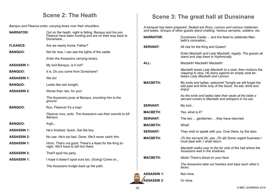## **Scene 2: The Heath**

*Banquo and Fleance enter, carrying bows over their shoulders.*

| <b>NARRATOR:</b>   | Out on the heath, night is falling. Banguo and his son<br>Fleance have been hunting and are on their way back to<br>Dunsinane | an<br><b>NA</b> |
|--------------------|-------------------------------------------------------------------------------------------------------------------------------|-----------------|
| <b>FLEANCE:</b>    | Are we nearly home, Father?                                                                                                   | <b>SE</b>       |
| <b>BANQUO:</b>     | Not far now. I can see the lights of the castle.                                                                              |                 |
|                    | Enter the Assassins carrying lamps.                                                                                           |                 |
| <b>ASSASSIN 1:</b> | My lord Banquo, is it not?                                                                                                    | <b>AL</b>       |
| <b>BANQUO:</b>     | It is. Do you come from Dunsinane?                                                                                            |                 |
| <b>ASSASSIN 1:</b> | We do!                                                                                                                        |                 |
| <b>BANQUO:</b>     | Looks like rain tonight.                                                                                                      | MA              |
| <b>ASSASSIN 2:</b> | Worse than rain, for you!                                                                                                     |                 |
|                    | The Assassins jump at Banquo, knocking him to the<br>ground.                                                                  |                 |
| <b>BANQUO:</b>     | Run, Fleance! It's a trap!                                                                                                    | <b>SE</b>       |
|                    | Fleance runs, exits. The Assassins use their swords to kill<br>Banquo.                                                        | ΜA<br><b>SE</b> |
| <b>BANQUO:</b>     | Argh                                                                                                                          | ΜA              |
| <b>ASSASSIN 1:</b> | He's finished. Quick. Get the boy.                                                                                            | <b>SE</b>       |
| <b>ASSASSIN 2:</b> | No use. He's too fast. Gone. We'll never catch him.                                                                           | MA              |
| <b>ASSASSIN 1:</b> | Hmm. That's not good. There's a feast for the King to-<br>night. We'll have to tell him there.                                |                 |
| <b>ASSASSIN 2:</b> | That'll spoil his party.                                                                                                      |                 |
| <b>ASSASSIN 1:</b> | I hope it doesn't spoil ours too. (Going) Come on                                                                             | MA              |
|                    | The Assassins trudge back up the path.                                                                                        |                 |
|                    |                                                                                                                               |                 |

## **Scene 3: The great hall at Dunsinane**

*A banquet has been prepared. Seated are Ross, Lennox and various noblemen and ladies. Groups of other guests stand chatting. Various servants, soldiers, etc.*

| <b>NARRATOR:</b>   | Dunsinane Castle  and the feast to celebrate Mac-<br>beth's coronation                                                                           |
|--------------------|--------------------------------------------------------------------------------------------------------------------------------------------------|
| <b>SERVANT:</b>    | All rise for the King and Queen!                                                                                                                 |
|                    | Enter Macbeth and Lady Macbeth, regally. The guests all<br>stand and clap them in rhythmically.                                                  |
| ALL:               | Macbeth! Macbeth! Macbeth!                                                                                                                       |
|                    | Macbeth leads Lady Macbeth to a seat, then motions the<br>clapping to stop. He leans against an empty seat be-<br>tween Lady Macbeth and Lennox. |
| <b>MACBETH:</b>    | My lords and ladies, welcome! Tonight we will forget the<br>sad past and think only of the future. So eat, drink and<br>enjoy!                   |
|                    | As the lords and ladies take their seats at the table a<br>servant comes to Macbeth and whispers in his ear.                                     |
| <b>SERVANT:</b>    | My lord                                                                                                                                          |
| <b>MACBETH:</b>    | Yes, what is it?                                                                                                                                 |
| <b>SERVANT:</b>    | The two  gentlemen  they have returned.                                                                                                          |
| <b>MACBETH:</b>    | What!                                                                                                                                            |
| <b>SERVANT:</b>    | They wish to speak with you. Over there, by the door.                                                                                            |
| <b>MACBETH:</b>    | (To the servant) Ah, yes. (To all) Some urgent business I<br>must deal with. I shall return.                                                     |
|                    | Macbeth walks over to the far side of the hall where the<br>Assassins wait in the shadows.                                                       |
| <b>MACBETH:</b>    | Idiots! There's blood on your face.                                                                                                              |
|                    | The Assassins take out hankies and wipe each other's<br>faces.                                                                                   |
| <b>ASSASSIN 1:</b> | Not mine.                                                                                                                                        |
| <b>ASSASSIN 2:</b> | Or mine.                                                                                                                                         |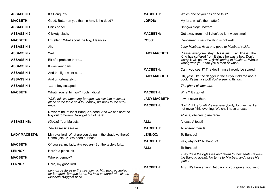| <b>ASSASSIN 1:</b>   | It's Banquo's.                                                                                                                            | <b>MACBETH:</b>      | Which one of you has done this?                                                                                                                         |
|----------------------|-------------------------------------------------------------------------------------------------------------------------------------------|----------------------|---------------------------------------------------------------------------------------------------------------------------------------------------------|
| <b>MACBETH:</b>      | Good. Better on you than in him. Is he dead?                                                                                              | <b>LORDS:</b>        | My lord, what's the matter?                                                                                                                             |
| <b>ASSASSIN 1:</b>   | Snick snack.                                                                                                                              |                      | Banquo steps forward.                                                                                                                                   |
| <b>ASSASSIN 2:</b>   | Clickety-clack.                                                                                                                           | <b>MACBETH:</b>      | Get away from me! I didn't do it! It wasn't me!                                                                                                         |
| <b>MACBETH:</b>      | Excellent! What about the boy, Fleance?                                                                                                   | <b>ROSS:</b>         | Gentlemen, rise - the King is not well.                                                                                                                 |
| <b>ASSASSIN 1:</b>   | Ah.                                                                                                                                       |                      | Lady Macbeth rises and goes to Macbeth's side.                                                                                                          |
| <b>ASSASSIN 2:</b>   | Well.                                                                                                                                     | <b>LADY MACBETH:</b> | Please, everyone, stay. This is just  an illness. The                                                                                                   |
| <b>ASSASSIN 1:</b>   | Bit of a problem there                                                                                                                    |                      | King has suffered from it since he was a boy. Don't<br>worry, it will go away. (Whispering to Macbeth) What's<br>wrong with you? Are you a man or what? |
| <b>ASSASSIN 2:</b>   | It was very dark                                                                                                                          | <b>MACBETH:</b>      | Can't you see it? The devil himself would be scared.                                                                                                    |
| <b>ASSASSIN 1:</b>   | And the light went out                                                                                                                    | <b>LADY MACBETH:</b> | Oh, yes! Like the dagger in the air you told me about.                                                                                                  |
| <b>ASSASSIN 2:</b>   | And unfortunately                                                                                                                         |                      | Look, it's just a stool! You're seeing things.                                                                                                          |
| <b>ASSASSIN 1:</b>   | the boy escaped.                                                                                                                          |                      | The ghost disappears.                                                                                                                                   |
| <b>MACBETH:</b>      | What? You let him go? Fools! Idiots!                                                                                                      | <b>MACBETH:</b>      | What? It's gone!                                                                                                                                        |
|                      | While this is happening Banquo can slip into a vacant<br>place at the table next to Lennox, his back to the audi-                         | <b>LADY MACBETH:</b> | It was never there!                                                                                                                                     |
|                      | ence.                                                                                                                                     | <b>MACBETH:</b>      | No? Right. (To all) Please, everybody, forgive me. I am<br>not myself this evening. We shall have a toast!                                              |
|                      | Never mind, at least Banquo's dead. And we can sort the<br>boy out tomorrow. Now get out of here!                                         |                      | All rise, obscuring the table.                                                                                                                          |
| <b>ASSASSINS:</b>    | (Going) Your Majesty.                                                                                                                     | ALL:                 | A toast! A toast!                                                                                                                                       |
|                      | The Assassins leave.                                                                                                                      | <b>MACBETH:</b>      | To absent friends.                                                                                                                                      |
| <b>LADY MACBETH:</b> | My royal lord! What are you doing in the shadows there?<br>Come, join us. We need our host!                                               | <b>LENNOX:</b>       | To Banquo!                                                                                                                                              |
| <b>MACBETH:</b>      | Of course, my lady. (He pauses) But the table's full                                                                                      | <b>MACBETH:</b>      | Yes, why not? To Banquo!                                                                                                                                |
| <b>LENNOX:</b>       | Here's a place, sir.                                                                                                                      | ALL:                 | To Banquo!                                                                                                                                              |
| <b>MACBETH:</b>      | Where, Lennox?                                                                                                                            |                      | They drain their glasses and return to their seats (reveal-<br>ing Banquo again). He turns to Macbeth and raises his                                    |
| <b>LENNOX:</b>       | Here, my good lord.                                                                                                                       | <b>MACBETH:</b>      | glass.                                                                                                                                                  |
|                      | Lennox gestures to the seat next to him (now occupied<br>by Banquo). Banquo turns, his face smeared with blood.<br>Macbeth staggers back. |                      | Argh! It's here again! Get back to your grave, you fiend!                                                                                               |
|                      |                                                                                                                                           |                      |                                                                                                                                                         |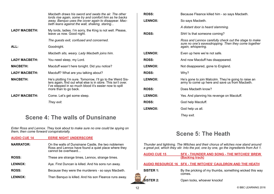|                      | Macbeth draws his sword and swats the air. The other<br>lords rise again, some try and comfort him as he backs<br>away. Banquo uses the cover again to disappear. Mac-<br>beth leans against the wall, shaking, staring |
|----------------------|-------------------------------------------------------------------------------------------------------------------------------------------------------------------------------------------------------------------------|
| <b>LADY MACBETH:</b> | My lords, ladies. I'm sorry, the King is not well. Please,<br>leave us now. Good night.                                                                                                                                 |
|                      | The guests exit, confused and concerned.                                                                                                                                                                                |
| ALL:                 | Goodnight.                                                                                                                                                                                                              |
|                      | Macbeth sits, weary. Lady Macbeth joins him.                                                                                                                                                                            |
| <b>LADY MACBETH:</b> | You need sleep, my Lord.                                                                                                                                                                                                |
| <b>MACBETH:</b>      | Macduff wasn't here tonight. Did you notice?                                                                                                                                                                            |
| <b>LADY MACBETH:</b> | Macduff? What are you talking about?                                                                                                                                                                                    |
| <b>MACBETH:</b>      | He's plotting I'm sure. Tomorrow, I'll go to the Weird Sis-<br>ters again, find out what else is in store. This isn't over.<br>I've stepped in so much blood it's easier now to spill<br>more than to go back.          |
| <b>LADY MACBETH:</b> | Come. Let's get some sleep.                                                                                                                                                                                             |
|                      | They exit.                                                                                                                                                                                                              |

## **Scene 4: The walls of Dunsinane**

*Enter Ross and Lennox. They look about to make sure no one could be spying on them, then come forward conspiratorially.*

| <b>AUDIO CUE 14</b> | <b>EERIE NIGHT UNDERSCORE</b>                                                                                                    |
|---------------------|----------------------------------------------------------------------------------------------------------------------------------|
| <b>NARRATOR:</b>    | On the walls of Dunsinane Castle, the two noblemen<br>Ross and Lennox have found a quiet place where they<br>cannot be overheard |
| <b>ROSS:</b>        | These are strange times, Lennox, strange times.                                                                                  |
| <b>LENNOX:</b>      | Aye. First Duncan is killed. And his sons run away.                                                                              |
| <b>ROSS:</b>        | Because they were the murderers - so says Macbeth.                                                                               |
| <b>LENNOX:</b>      | Then Banquo is killed. And his son Fleance runs away.                                                                            |

| <b>ROSS:</b>   | Because Fleance killed him - so says Macbeth.                                                                                       |
|----------------|-------------------------------------------------------------------------------------------------------------------------------------|
| <b>LENNOX:</b> | So says Macbeth.                                                                                                                    |
|                | A distant door is heard slamming.                                                                                                   |
| <b>ROSS:</b>   | Shh! Is that someone coming?                                                                                                        |
|                | Ross and Lennox carefully check out the stage to make<br>sure no one's eavesdropping. Then they come together<br>again, whispering. |
| <b>LENNOX:</b> | Even up here we're not safe.                                                                                                        |
| <b>ROSS:</b>   | And now Macduff has disappeared.                                                                                                    |
| <b>LENNOX:</b> | Not disappeared, gone to England.                                                                                                   |
| <b>ROSS:</b>   | Why?                                                                                                                                |
| <b>LENNOX:</b> | He's gone to join Malcolm. They're going to raise an<br>army to come up here and save us from Macbeth.                              |
| <b>ROSS:</b>   | Does Macbeth know?                                                                                                                  |
| <b>LENNOX:</b> | Yes. And planning his revenge on Macduff.                                                                                           |
| <b>ROSS:</b>   | God help Macduff.                                                                                                                   |
| <b>LENNOX:</b> | God help us all.                                                                                                                    |
|                | They exit.                                                                                                                          |

## **Scene 5: The Heath**

*Thunder and lightning. The Witches and their chorus of witches now stand around a great pot, which they stir. Into the pot, one by one, go the ingredients from Act 1.*

| <b>AUDIO CUE 15</b> | <b>SFX - THUNDER AND SONG - THE WITCHES' BREW</b><br>(Backing track) |
|---------------------|----------------------------------------------------------------------|
|                     | AUDIO RESOURCE 16 SFX - THE WITCHES' CAULDRON AND THE HEATH          |
| <b>SISTER 1:</b>    | By the pricking of my thumbs, something wicked this way<br>comes.    |
| <b>SISTER 2:</b>    | Open locks, whoever knocks!                                          |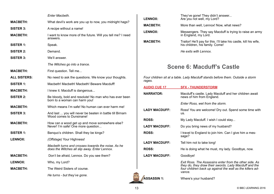|                     | Enter Macbeth.                                                                                      |
|---------------------|-----------------------------------------------------------------------------------------------------|
| <b>MACBETH:</b>     | What devil's work are you up to now, you midnight hags?                                             |
| <b>SISTER 3:</b>    | A recipe without a name!                                                                            |
| <b>MACBETH:</b>     | I want to know more of the future. Will you tell me? I need<br>answers.                             |
| <b>SISTER 1:</b>    | Speak.                                                                                              |
| <b>SISTER 2:</b>    | Demand.                                                                                             |
| <b>SISTER 3:</b>    | We'll answer.                                                                                       |
|                     | The Witches go into a trance.                                                                       |
| <b>MACBETH:</b>     | First question. Tell me                                                                             |
| <b>ALL SISTERS:</b> | No need to ask the questions. We know your thoughts.                                                |
| <b>SISTER 1:</b>    | Macbeth! Macbeth! Macbeth! Beware Macduff!                                                          |
| <b>MACBETH:</b>     | I knew it. Macduff is dangerous                                                                     |
| <b>SISTER 2:</b>    | Be bloody, bold and resolute! No man who has ever been<br>born to a woman can harm you!             |
| <b>MACBETH:</b>     | Which means I'm safe! No human can ever harm me!                                                    |
| <b>SISTER 3:</b>    | And last  you will never be beaten in battle till Birnam<br>Wood comes to Dunsinane!                |
| <b>MACBETH:</b>     | How can a wood get up and move somewhere else?<br>Never! I'm safe! One more question                |
| <b>SISTER 1:</b>    | Banquo's children. Shall they be kings?                                                             |
| <b>LENNOX:</b>      | (Offstage) Your Highness!                                                                           |
|                     | Macbeth turns and crosses towards the noise. As he<br>does the Witches all slip away. Enter Lennox. |
| <b>MACBETH:</b>     | Don't be afraid, Lennox. Do you see them?                                                           |
| <b>LENNOX:</b>      | Who, my Lord?                                                                                       |
| <b>MACBETH:</b>     | The Weird Sisters of course.                                                                        |
|                     | He turns - but they've gone.                                                                        |

| <b>LENNOX:</b>       | They've gone! They didn't answer<br>Are you not well, my Lord?                                             |
|----------------------|------------------------------------------------------------------------------------------------------------|
| <b>MACBETH:</b>      | More than well, Lennox! Now, what news?                                                                    |
| <b>LENNOX:</b>       | Messengers. They say Macduff is trying to raise an army<br>in England, my Lord.                            |
| <b>MACBETH:</b>      | Traitor! He'll pay for this. I'll take his castle, kill his wife,<br>his children, his family. Come!       |
|                      | He exits with Lennox.                                                                                      |
|                      |                                                                                                            |
|                      | <b>Scene 6: Macduff's Castle</b>                                                                           |
| rages.               | Four children sit at a table. Lady Macduff stands before them. Outside a storm                             |
| <b>AUDIO CUE 17</b>  | <b>SFX - THUNDERSTORM</b>                                                                                  |
| <b>NARRATOR:</b>     | Macduff's castle. Lady Macduff and her children await<br>news of him from England.                         |
|                      | Enter Ross, wet from the storm.                                                                            |
| <b>LADY MACDUFF:</b> | Ross! You are welcome! Dry out. Spend some time with<br>us.                                                |
| <b>ROSS:</b>         | My Lady Macduff. I wish I could stay                                                                       |
| <b>LADY MACDUFF:</b> | Do you bring news of my husband?                                                                           |
| <b>ROSS:</b>         | I travel to England to join him. Can I give him a mes-<br>sage?                                            |
| <b>LADY MACDUFF:</b> | Tell him not to take long!                                                                                 |
| <b>ROSS:</b>         | He is doing what he must, my lady. Goodbye, now.                                                           |
| <b>LADY MACDUFF:</b> | Goodbye!                                                                                                   |
|                      | Exit Ross. The Assassins enter from the other side. As<br>though thoughouthoir quanto Lody Mooduff and the |

*they do, they draw their swords. Lady Macduff and the four children back up against the wall as the killers advance.*

ASSASSIN 1: Where's your husband?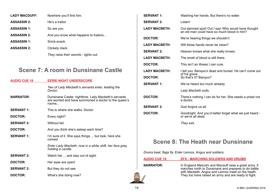| <b>LADY MACDUFF:</b> | Nowhere you'll find him.              |
|----------------------|---------------------------------------|
| <b>ASSASSIN 2:</b>   | He's a traitor.                       |
| <b>ASSASSIN 1:</b>   | So are you.                           |
| <b>ASSASSIN 2:</b>   | And you know what happens to traitors |
| <b>ASSASSIN 1:</b>   | Snick-snack.                          |
| <b>ASSASSIN 2:</b>   | Clickety clack.                       |
|                      | They raise their swords - lights out. |

## **Scene 7: A room in Dunsinane Castle**

| <b>AUDIO CUE 18</b> | <b>EERIE NIGHT UNDERSCORE</b>                                                                                          |
|---------------------|------------------------------------------------------------------------------------------------------------------------|
|                     | Two of Lady Macbeth's servants enter, leading the<br>Doctor.                                                           |
| <b>NARRATOR:</b>    | Dunsinane Castle: nighttime. Lady Macbeth's servants<br>are worried and have summoned a doctor to the queen's<br>rooms |
| <b>SERVANT 1:</b>   | This is where she walks, Doctor.                                                                                       |
| <b>DOCTOR:</b>      | Every night?                                                                                                           |
| <b>SERVANT 2:</b>   | Without fail.                                                                                                          |
| <b>DOCTOR:</b>      | And you think she's asleep each time?                                                                                  |
| <b>SERVANT 1:</b>   | I'm sure of it. She says things  but look, here she<br>comes!                                                          |
|                     | Enter Lady Macbeth, now in a white shift, her face grey,<br>holding a candle.                                          |
| <b>SERVANT 2:</b>   | Watch her  and stay out of sight.                                                                                      |
| <b>DOCTOR:</b>      | Her eyes are open!                                                                                                     |
| <b>SERVANT 2:</b>   | But they do not see.                                                                                                   |
| DOCTOR:             | What's she doing now?                                                                                                  |

| <b>SERVANT 1:</b>    | Washing her hands. But there's no water.                                                          |
|----------------------|---------------------------------------------------------------------------------------------------|
| <b>SERVANT 2:</b>    | Listen!                                                                                           |
| <b>LADY MACBETH:</b> | Out damned spot! Out I say! Who would have thought<br>an old man could have so much blood in him? |
| <b>DOCTOR:</b>       | We're hearing things we shouldn't.                                                                |
| <b>LADY MACBETH:</b> | Will these hands never be clean?                                                                  |
| <b>SERVANT 2:</b>    | Heaven knows what she really knows.                                                               |
| <b>LADY MACBETH:</b> | The smell of blood is still there.                                                                |
| <b>DOCTOR:</b>       | This isn't an illness I can cure.                                                                 |
| <b>LADY MACBETH:</b> | I tell you: Banquo's dead and buried. He can't come out                                           |
| <b>DOCTOR:</b>       | of his grave.<br>So that's it? Banquo?                                                            |
| <b>SERVANT 1:</b>    | We've heard too much already.                                                                     |
|                      | Lady Macbeth exits.                                                                               |
| <b>DOCTOR:</b>       | There's nothing I can do for her. She needs a priest not<br>a doctor.                             |
| <b>SERVANT 2:</b>    | God forgive us all.                                                                               |
| <b>DOCTOR:</b>       | Goodnight. And you'd better forget what we just heard -<br>or we're all dead.                     |
|                      | They exit.                                                                                        |

## **Scene 8: The Heath near Dunsinane**

*Drums beat, flags fly. Enter Lennox, Angus and soldiers.*

**AUDIO CUE 19 SFX - MARCHING SOLDIERS AND DRUMS**

**NARRATOR:** In England Malcolm and Macduff raise a great army. It marches north to Dunsinane and prepares to do battle with Macbeth. Angus and Lennox meet on the heath. They too have raised an army and are ready to fight.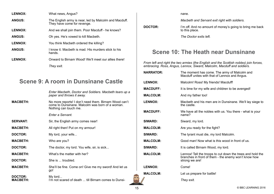| <b>LENNOX:</b> | What news, Angus?                                                                    |
|----------------|--------------------------------------------------------------------------------------|
| <b>ANGUS:</b>  | The English army is near, led by Malcolm and Macduff.<br>They have come for revenge. |
| <b>LENNOX:</b> | And we shall join them. Poor Macduff - he knows?                                     |
| <b>ANGUS:</b>  | Oh yes. He's vowed to kill Macbeth.                                                  |
| <b>LENNOX:</b> | You think Macbeth ordered the killing?                                               |
| <b>ANGUS:</b>  | I know it. Macbeth is mad. His murders stick to his<br>hands.                        |
| <b>LENNOX:</b> | Onward to Birnam Wood! We'll meet our allies there!                                  |
|                | They exit.                                                                           |

## **Scene 9: A room in Dunsinane Castle**

|                            | Enter Macbeth, Doctor and Soldiers. Macbeth tears up a<br>paper and throws it away.                                               |
|----------------------------|-----------------------------------------------------------------------------------------------------------------------------------|
| <b>MACBETH:</b>            | No more reports! I don't need them. Birnam Wood can't<br>come to Dunsinane. Malcolm was born of a woman.<br>Nothing can touch me. |
|                            | Enter a Servant.                                                                                                                  |
| <b>SERVANT:</b>            | Sir, the English army comes near!                                                                                                 |
| <b>MACBETH:</b>            | All right then! Put on my armour!                                                                                                 |
| DOCTOR:                    | My lord, your wife                                                                                                                |
| <b>MACBETH:</b>            | Who are you?                                                                                                                      |
| DOCTOR:                    | The doctor, my lord. You wife, sir, is sick                                                                                       |
| <b>MACBETH:</b>            | What's the matter with her?                                                                                                       |
| DOCTOR:                    | She is  troubled.                                                                                                                 |
| <b>MACBETH:</b>            | She'll be fine. Come on! Give me my sword! And let us<br>go!                                                                      |
| DOCTOR:<br><b>MACBETH:</b> | My lord<br>I'm not scared of death  till Birnam comes to Dunsi-                                                                   |

nane.

*Macbeth and Servant exit right with soldiers.*

**DOCTOR: I'm off.** And no amount of money's going to bring me back to this place.

*The Doctor exits left.*

## **Scene 10: The Heath near Dunsinane**

*From left and right the two armies (the English and the Scottish nobles) join forces, embracing. Ross, Angus, Lennox, Siward, Malcolm, Macduff and soldiers.*

| <b>NARRATOR:</b> | The moment has come. The army of Malcolm and<br>Macduff unites with that of Lennox and Angus.                                        |
|------------------|--------------------------------------------------------------------------------------------------------------------------------------|
| <b>LENNOX:</b>   | Malcolm! Ross! My friends! Macduff!                                                                                                  |
| <b>MACDUFF:</b>  | It is time for my wife and children to be avenged!                                                                                   |
| <b>MALCOLM:</b>  | And my father too!                                                                                                                   |
| <b>LENNOX:</b>   | Macbeth and his men are in Dunsinane. We'll lay siege to<br>the castle.                                                              |
| <b>MACDUFF:</b>  | We have all the nobles with us. You there - what is your<br>name?                                                                    |
| <b>SIWARD:</b>   | Siward, my lord.                                                                                                                     |
| <b>MALCOLM:</b>  | Are you ready for the fight?                                                                                                         |
| <b>SIWARD:</b>   | The tyrant must die, my lord Malcolm.                                                                                                |
| <b>MALCOLM:</b>  | Good man! Now what is this wood in front of us.                                                                                      |
| <b>SIWARD:</b>   | It is called Birnam Wood, my lord.                                                                                                   |
| <b>MALCOLM:</b>  | Lennox! Tell the troops to cut down the trees and hold the<br>branches in front of them - the enemy won't know how<br>strong we are! |
| <b>LENNOX:</b>   | Come!                                                                                                                                |
| <b>MALCOLM:</b>  | Let us prepare for battle!                                                                                                           |
|                  | They exit.                                                                                                                           |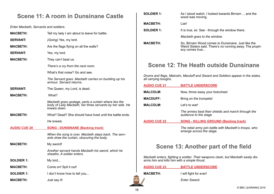## **Scene 11: A room in Dunsinane Castle**

*Enter Macbeth, Servants and soldiers.*

| <b>MACBETH:</b>     | Tell my lady I am about to leave for battle.                                                                                     |
|---------------------|----------------------------------------------------------------------------------------------------------------------------------|
| <b>SERVANT:</b>     | (Going) Yes, my lord.                                                                                                            |
| <b>MACBETH:</b>     | Are the flags flying on all the walls?                                                                                           |
| <b>SERVANT:</b>     | Yes, my lord.                                                                                                                    |
| <b>MACBETH:</b>     | They can't beat us.                                                                                                              |
|                     | There's a cry from the next room.                                                                                                |
|                     | What's that noise? Go and see.                                                                                                   |
|                     | The Servant goes. Macbeth carries on buckling up his<br>armour. Servant returns.                                                 |
| <b>SERVANT:</b>     | The Queen, my Lord, is dead.                                                                                                     |
| <b>MACBETH:</b>     | What?                                                                                                                            |
|                     | Macbeth goes upstage, parts a curtain where lies the<br>body of Lady Macbeth, her three servants by her side. He<br>kneels down. |
| <b>MACBETH:</b>     | What? Dead? She should have lived until the battle ends.                                                                         |
|                     | He kneels.                                                                                                                       |
| <b>AUDIO CUE 20</b> | <b>SONG - DUNSINANE (Backing track)</b>                                                                                          |
|                     | When the song is over, Macbeth steps back. The serv-<br>ants draw the curtain, obscuring the body.                               |
| <b>MACBETH:</b>     | My sword!                                                                                                                        |
|                     | Another servant hands Macbeth his sword, which he<br>sheaths. A soldier enters.                                                  |
| <b>SOLDIER 1:</b>   | My lord                                                                                                                          |
| <b>MACBETH:</b>     | Come on! Spit it out!                                                                                                            |
| <b>SOLDIER 1:</b>   | I don't know how to tell you                                                                                                     |
| <b>MACBETH:</b>     | Just say it!                                                                                                                     |

|                 | <b>SOLDIER 1:</b> | As I stood watch, I looked towards Birnam  and the<br>wood was moving.                                                         |
|-----------------|-------------------|--------------------------------------------------------------------------------------------------------------------------------|
| <b>MACBETH:</b> |                   | Liar!                                                                                                                          |
|                 | <b>SOLDIER 1:</b> | It is true, sir. See - through the window there.                                                                               |
|                 |                   | Macbeth goes to the window.                                                                                                    |
| <b>MACBETH:</b> |                   | So, Birnam Wood comes to Dunsinane. Just like the<br>Weird Sisters said. There's no running away. The proph-<br>ecy comes true |
|                 |                   | <b>Scene 12: The Heath outside Dunsinane</b>                                                                                   |

*Drums and flags. Malcolm, Macduff and Siward and Soldiers appear in the aisles, all carrying boughs.*

| <b>AUDIO CUE 21</b> | <b>BATTLE UNDERSCORE</b>                                                          |
|---------------------|-----------------------------------------------------------------------------------|
| <b>MALCOLM:</b>     | Now, throw away your branches!                                                    |
| <b>MACDUFF:</b>     | Bring on the trumpets!                                                            |
| <b>MALCOLM:</b>     | Let's to war!                                                                     |
|                     | The armies beat their shields and march through the<br>audience to the stage.     |
| <b>AUDIO CUE 22</b> | <b>SONG - KILLING GROUND (Backing track)</b>                                      |
|                     | The rebel army join battle with Macbeth's troops, who<br>emerge across the stage. |

## **Scene 13: Another part of the field**

*Macbeth enters, fighting a soldier. Their weapons clash, but Macbeth easily disarms him and kills him with a simple thrust.*

| <b>BATTLE UNDERSCORE</b><br><b>AUDIO CUE 23</b> |
|-------------------------------------------------|
|-------------------------------------------------|

**MACBETH:** I will fight for ever!

*Enter Siward.*